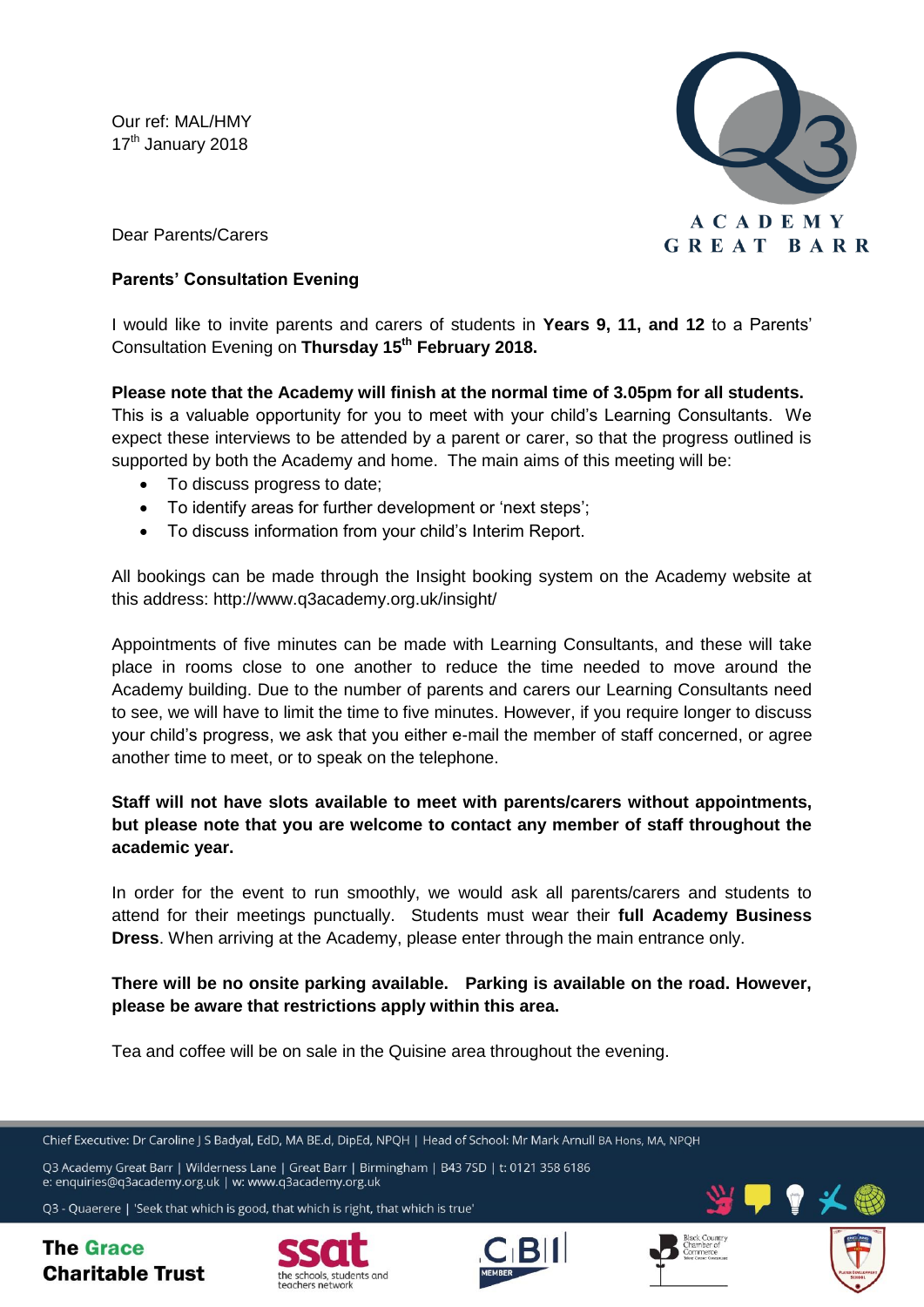Our ref: MAL/HMY 17<sup>th</sup> January 2018



Dear Parents/Carers

## **Parents' Consultation Evening**

I would like to invite parents and carers of students in **Years 9, 11, and 12** to a Parents' Consultation Evening on **Thursday 15th February 2018.**

## **Please note that the Academy will finish at the normal time of 3.05pm for all students.**

This is a valuable opportunity for you to meet with your child's Learning Consultants. We expect these interviews to be attended by a parent or carer, so that the progress outlined is supported by both the Academy and home. The main aims of this meeting will be:

- To discuss progress to date;
- To identify areas for further development or 'next steps';
- To discuss information from your child's Interim Report.

All bookings can be made through the Insight booking system on the Academy website at this address: http://www.q3academy.org.uk/insight/

Appointments of five minutes can be made with Learning Consultants, and these will take place in rooms close to one another to reduce the time needed to move around the Academy building. Due to the number of parents and carers our Learning Consultants need to see, we will have to limit the time to five minutes. However, if you require longer to discuss your child's progress, we ask that you either e-mail the member of staff concerned, or agree another time to meet, or to speak on the telephone.

# **Staff will not have slots available to meet with parents/carers without appointments, but please note that you are welcome to contact any member of staff throughout the academic year.**

In order for the event to run smoothly, we would ask all parents/carers and students to attend for their meetings punctually. Students must wear their **full Academy Business Dress**. When arriving at the Academy, please enter through the main entrance only.

**There will be no onsite parking available. Parking is available on the road. However, please be aware that restrictions apply within this area.**

Tea and coffee will be on sale in the Quisine area throughout the evening.

Chief Executive: Dr Caroline | S Badyal, EdD, MA BE.d, DipEd, NPOH | Head of School: Mr Mark Arnull BA Hons, MA, NPOH

Q3 Academy Great Barr | Wilderness Lane | Great Barr | Birmingham | B43 7SD | t: 0121 358 6186 e: enquiries@q3academy.org.uk | w: www.q3academy.org.uk

Q3 - Quaerere | 'Seek that which is good, that which is right, that which is true'